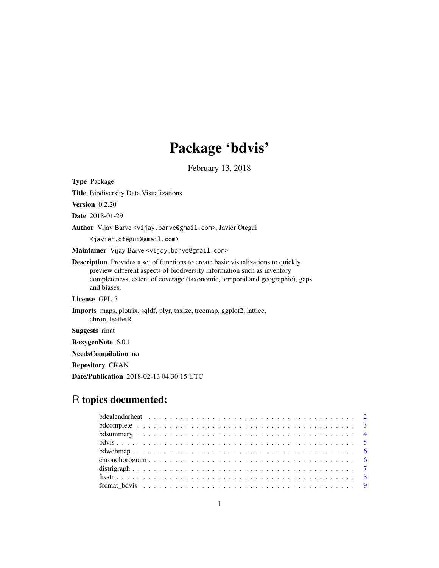# Package 'bdvis'

February 13, 2018

<span id="page-0-0"></span>Type Package Title Biodiversity Data Visualizations Version 0.2.20 Date 2018-01-29 Author Vijay Barve <vijay.barve@gmail.com>, Javier Otegui <javier.otegui@gmail.com> Maintainer Vijay Barve <vijay.barve@gmail.com> Description Provides a set of functions to create basic visualizations to quickly preview different aspects of biodiversity information such as inventory completeness, extent of coverage (taxonomic, temporal and geographic), gaps and biases. License GPL-3 Imports maps, plotrix, sqldf, plyr, taxize, treemap, ggplot2, lattice, chron, leafletR Suggests rinat RoxygenNote 6.0.1 NeedsCompilation no Repository CRAN Date/Publication 2018-02-13 04:30:15 UTC

# R topics documented: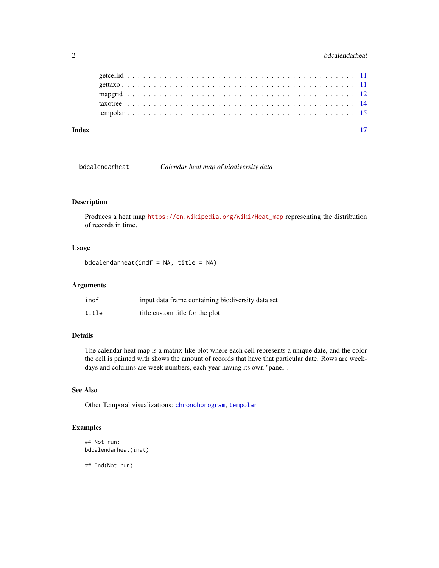<span id="page-1-0"></span>

| Index |  |  |  |  |  |  |  |  |  |  |  |  |  |  |  |  |  |  |  |  |  |  |  |
|-------|--|--|--|--|--|--|--|--|--|--|--|--|--|--|--|--|--|--|--|--|--|--|--|
|       |  |  |  |  |  |  |  |  |  |  |  |  |  |  |  |  |  |  |  |  |  |  |  |
|       |  |  |  |  |  |  |  |  |  |  |  |  |  |  |  |  |  |  |  |  |  |  |  |
|       |  |  |  |  |  |  |  |  |  |  |  |  |  |  |  |  |  |  |  |  |  |  |  |
|       |  |  |  |  |  |  |  |  |  |  |  |  |  |  |  |  |  |  |  |  |  |  |  |
|       |  |  |  |  |  |  |  |  |  |  |  |  |  |  |  |  |  |  |  |  |  |  |  |

<span id="page-1-1"></span>bdcalendarheat *Calendar heat map of biodiversity data*

# Description

Produces a heat map [https://en.wikipedia.org/wiki/Heat\\_map](https://en.wikipedia.org/wiki/Heat_map) representing the distribution of records in time.

# Usage

 $bdcalendarheat(indf = NA, title = NA)$ 

# Arguments

| indf  | input data frame containing biodiversity data set |
|-------|---------------------------------------------------|
| title | title custom title for the plot                   |

# Details

The calendar heat map is a matrix-like plot where each cell represents a unique date, and the color the cell is painted with shows the amount of records that have that particular date. Rows are weekdays and columns are week numbers, each year having its own "panel".

# See Also

Other Temporal visualizations: [chronohorogram](#page-5-1), [tempolar](#page-14-1)

# Examples

```
## Not run:
bdcalendarheat(inat)
```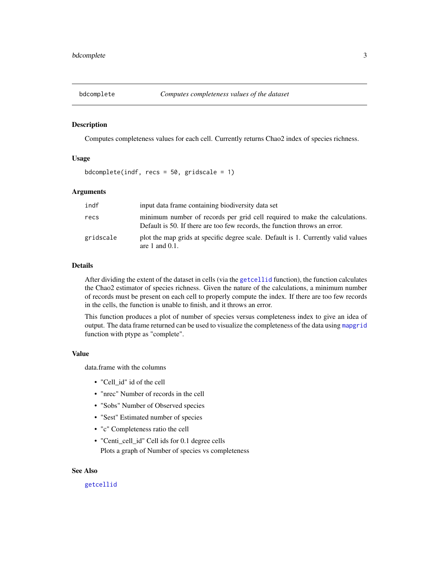<span id="page-2-1"></span><span id="page-2-0"></span>

Computes completeness values for each cell. Currently returns Chao2 index of species richness.

# Usage

bdcomplete(indf, recs =  $50$ , gridscale = 1)

# Arguments

| indf      | input data frame containing biodiversity data set                                                                                                        |
|-----------|----------------------------------------------------------------------------------------------------------------------------------------------------------|
| recs      | minimum number of records per grid cell required to make the calculations.<br>Default is 50. If there are too few records, the function throws an error. |
| gridscale | plot the map grids at specific degree scale. Default is 1. Currently valid values<br>are 1 and $0.1$ .                                                   |

# Details

After dividing the extent of the dataset in cells (via the [getcellid](#page-10-1) function), the function calculates the Chao2 estimator of species richness. Given the nature of the calculations, a minimum number of records must be present on each cell to properly compute the index. If there are too few records in the cells, the function is unable to finish, and it throws an error.

This function produces a plot of number of species versus completeness index to give an idea of output. The data frame returned can be used to visualize the completeness of the data using [mapgrid](#page-11-1) function with ptype as "complete".

#### Value

data.frame with the columns

- "Cell\_id" id of the cell
- "nrec" Number of records in the cell
- "Sobs" Number of Observed species
- "Sest" Estimated number of species
- "c" Completeness ratio the cell
- "Centi\_cell\_id" Cell ids for 0.1 degree cells Plots a graph of Number of species vs completeness

# See Also

#### [getcellid](#page-10-1)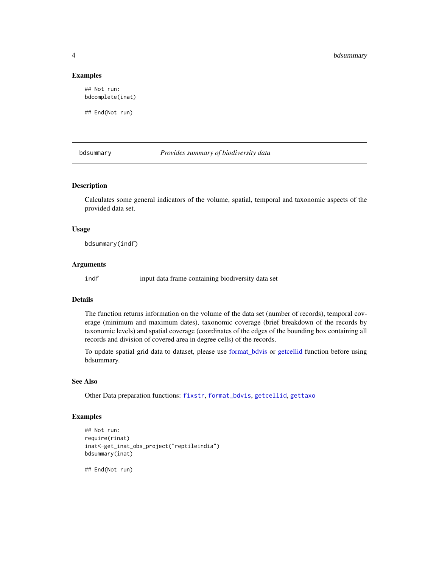#### Examples

## Not run: bdcomplete(inat)

## End(Not run)

<span id="page-3-1"></span>bdsummary *Provides summary of biodiversity data*

# Description

Calculates some general indicators of the volume, spatial, temporal and taxonomic aspects of the provided data set.

# Usage

bdsummary(indf)

#### Arguments

indf input data frame containing biodiversity data set

# Details

The function returns information on the volume of the data set (number of records), temporal coverage (minimum and maximum dates), taxonomic coverage (brief breakdown of the records by taxonomic levels) and spatial coverage (coordinates of the edges of the bounding box containing all records and division of covered area in degree cells) of the records.

To update spatial grid data to dataset, please use [format\\_bdvis](#page-8-1) or [getcellid](#page-10-1) function before using bdsummary.

# See Also

Other Data preparation functions: [fixstr](#page-7-1), [format\\_bdvis](#page-8-1), [getcellid](#page-10-1), [gettaxo](#page-10-2)

#### Examples

```
## Not run:
require(rinat)
inat<-get_inat_obs_project("reptileindia")
bdsummary(inat)
```
<span id="page-3-0"></span>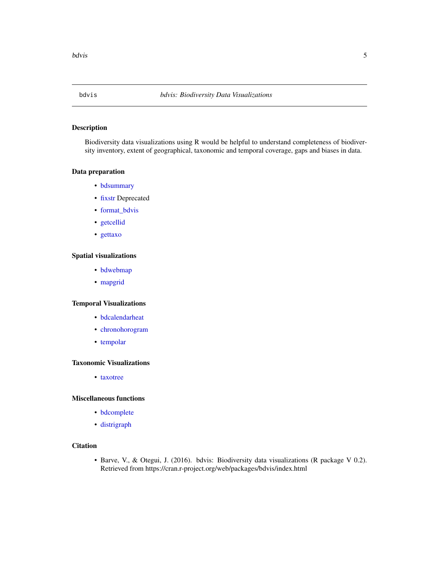<span id="page-4-0"></span>

Biodiversity data visualizations using R would be helpful to understand completeness of biodiversity inventory, extent of geographical, taxonomic and temporal coverage, gaps and biases in data.

#### Data preparation

- [bdsummary](#page-3-1)
- [fixstr](#page-7-1) Deprecated
- [format\\_bdvis](#page-8-1)
- [getcellid](#page-10-1)
- [gettaxo](#page-10-2)

# Spatial visualizations

- [bdwebmap](#page-5-2)
- [mapgrid](#page-11-1)

# Temporal Visualizations

- [bdcalendarheat](#page-1-1)
- [chronohorogram](#page-5-1)
- [tempolar](#page-14-1)

# Taxonomic Visualizations

• [taxotree](#page-13-1)

# Miscellaneous functions

- [bdcomplete](#page-2-1)
- [distrigraph](#page-6-1)

# **Citation**

• Barve, V., & Otegui, J. (2016). bdvis: Biodiversity data visualizations (R package V 0.2). Retrieved from https://cran.r-project.org/web/packages/bdvis/index.html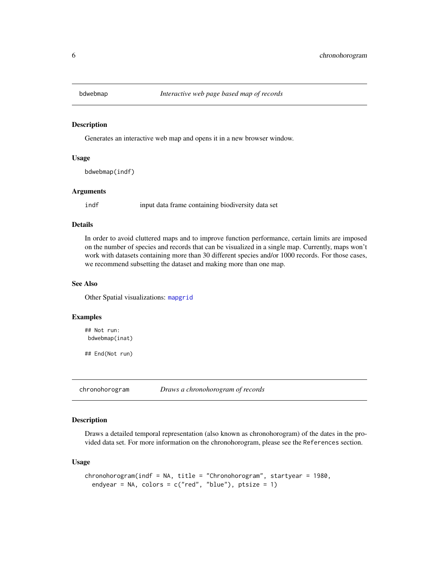<span id="page-5-2"></span><span id="page-5-0"></span>

Generates an interactive web map and opens it in a new browser window.

# Usage

bdwebmap(indf)

#### Arguments

indf input data frame containing biodiversity data set

# Details

In order to avoid cluttered maps and to improve function performance, certain limits are imposed on the number of species and records that can be visualized in a single map. Currently, maps won't work with datasets containing more than 30 different species and/or 1000 records. For those cases, we recommend subsetting the dataset and making more than one map.

#### See Also

Other Spatial visualizations: [mapgrid](#page-11-1)

#### Examples

```
## Not run:
bdwebmap(inat)
```
## End(Not run)

<span id="page-5-1"></span>chronohorogram *Draws a chronohorogram of records*

# Description

Draws a detailed temporal representation (also known as chronohorogram) of the dates in the provided data set. For more information on the chronohorogram, please see the References section.

#### Usage

```
chronohorogram(indf = NA, title = "Chronohorogram", startyear = 1980,
  endyear = NA, colors = c("red", "blue"), \nptsize = 1)
```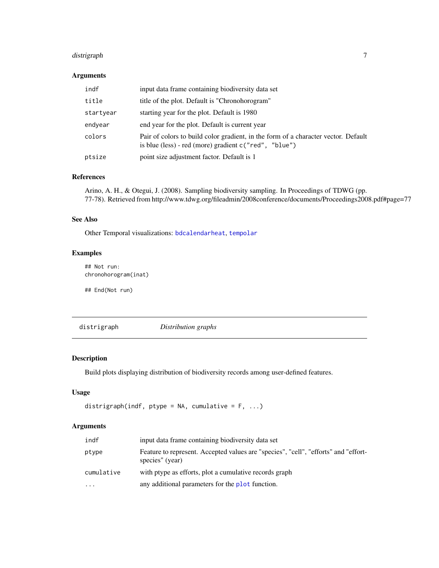# <span id="page-6-0"></span>distrigraph 7

# Arguments

| indf      | input data frame containing biodiversity data set                                                                                           |
|-----------|---------------------------------------------------------------------------------------------------------------------------------------------|
| title     | title of the plot. Default is "Chronohorogram"                                                                                              |
| startyear | starting year for the plot. Default is 1980                                                                                                 |
| endyear   | end year for the plot. Default is current year                                                                                              |
| colors    | Pair of colors to build color gradient, in the form of a character vector. Default<br>is blue (less) - red (more) gradient c("red", "blue") |
| ptsize    | point size adjustment factor. Default is 1                                                                                                  |

# References

Arino, A. H., & Otegui, J. (2008). Sampling biodiversity sampling. In Proceedings of TDWG (pp. 77-78). Retrieved from http://www.tdwg.org/fileadmin/2008conference/documents/Proceedings2008.pdf#page=77

# See Also

Other Temporal visualizations: [bdcalendarheat](#page-1-1), [tempolar](#page-14-1)

# Examples

## Not run: chronohorogram(inat)

## End(Not run)

<span id="page-6-1"></span>distrigraph *Distribution graphs*

# Description

Build plots displaying distribution of biodiversity records among user-defined features.

# Usage

```
distrigraph(indf, ptype = NA, cumulative = F, ...)
```
# Arguments

| indf       | input data frame containing biodiversity data set                                                      |
|------------|--------------------------------------------------------------------------------------------------------|
| ptype      | Feature to represent. Accepted values are "species", "cell", "efforts" and "effort-<br>species" (year) |
| cumulative | with ptype as efforts, plot a cumulative records graph                                                 |
| $\cdots$   | any additional parameters for the plot function.                                                       |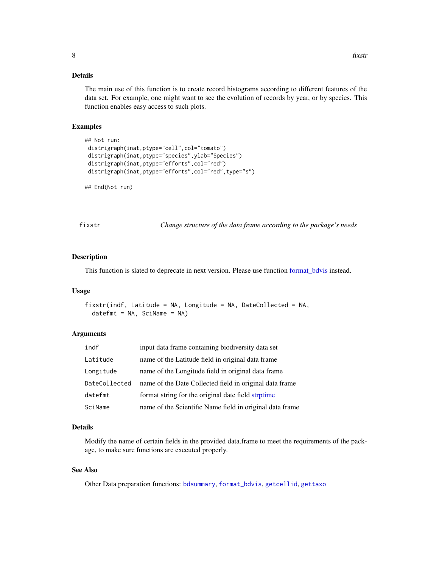# <span id="page-7-0"></span>Details

The main use of this function is to create record histograms according to different features of the data set. For example, one might want to see the evolution of records by year, or by species. This function enables easy access to such plots.

#### Examples

```
## Not run:
distrigraph(inat,ptype="cell",col="tomato")
distrigraph(inat,ptype="species",ylab="Species")
distrigraph(inat,ptype="efforts",col="red")
distrigraph(inat,ptype="efforts",col="red",type="s")
```

```
## End(Not run)
```
<span id="page-7-1"></span>fixstr *Change structure of the data frame according to the package's needs*

#### Description

This function is slated to deprecate in next version. Please use function [format\\_bdvis](#page-8-1) instead.

#### Usage

```
fixstr(indf, Latitude = NA, Longitude = NA, DateCollected = NA,
  datefmt = NA, SciName = NA)
```
# Arguments

| indf          | input data frame containing biodiversity data set        |
|---------------|----------------------------------------------------------|
| Latitude      | name of the Latitude field in original data frame        |
| Longitude     | name of the Longitude field in original data frame       |
| DateCollected | name of the Date Collected field in original data frame  |
| datefmt       | format string for the original date field strptime       |
| SciName       | name of the Scientific Name field in original data frame |

# Details

Modify the name of certain fields in the provided data.frame to meet the requirements of the package, to make sure functions are executed properly.

# See Also

Other Data preparation functions: [bdsummary](#page-3-1), [format\\_bdvis](#page-8-1), [getcellid](#page-10-1), [gettaxo](#page-10-2)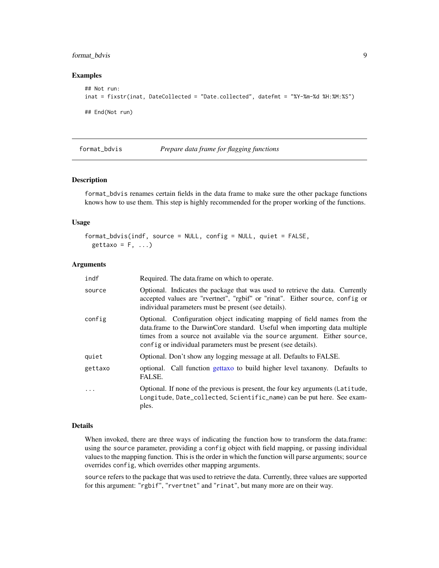# <span id="page-8-0"></span>format\_bdvis 9

#### Examples

```
## Not run:
inat = fixstr(inat, DateCollected = "Date.collected", datefmt = "%Y-%m-%d %H:%M:%S")
## End(Not run)
```
<span id="page-8-1"></span>

#### format\_bdvis *Prepare data frame for flagging functions*

# Description

format\_bdvis renames certain fields in the data frame to make sure the other package functions knows how to use them. This step is highly recommended for the proper working of the functions.

#### Usage

```
format_bdvis(indf, source = NULL, config = NULL, quiet = FALSE,
 gettaxo = F, ...)
```
#### Arguments

| indf    | Required. The data frame on which to operate.                                                                                                                                                                                                                                                          |
|---------|--------------------------------------------------------------------------------------------------------------------------------------------------------------------------------------------------------------------------------------------------------------------------------------------------------|
| source  | Optional. Indicates the package that was used to retrieve the data. Currently<br>accepted values are "rvertnet", "rgbif" or "rinat". Either source, config or<br>individual parameters must be present (see details).                                                                                  |
| config  | Optional. Configuration object indicating mapping of field names from the<br>data.frame to the DarwinCore standard. Useful when importing data multiple<br>times from a source not available via the source argument. Either source,<br>config or individual parameters must be present (see details). |
| quiet   | Optional. Don't show any logging message at all. Defaults to FALSE.                                                                                                                                                                                                                                    |
| gettaxo | optional. Call function gettaxo to build higher level taxanony. Defaults to<br>FALSE.                                                                                                                                                                                                                  |
| $\cdot$ | Optional. If none of the previous is present, the four key arguments (Latitude,<br>Longitude, Date_collected, Scientific_name) can be put here. See exam-<br>ples.                                                                                                                                     |

#### Details

When invoked, there are three ways of indicating the function how to transform the data.frame: using the source parameter, providing a config object with field mapping, or passing individual values to the mapping function. This is the order in which the function will parse arguments; source overrides config, which overrides other mapping arguments.

source refers to the package that was used to retrieve the data. Currently, three values are supported for this argument: "rgbif", "rvertnet" and "rinat", but many more are on their way.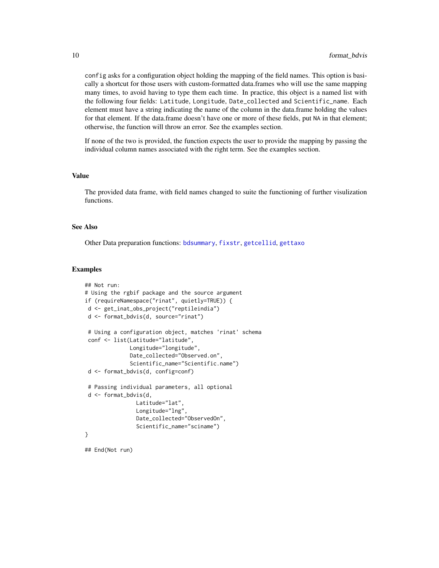config asks for a configuration object holding the mapping of the field names. This option is basically a shortcut for those users with custom-formatted data.frames who will use the same mapping many times, to avoid having to type them each time. In practice, this object is a named list with the following four fields: Latitude, Longitude, Date\_collected and Scientific\_name. Each element must have a string indicating the name of the column in the data.frame holding the values for that element. If the data.frame doesn't have one or more of these fields, put NA in that element; otherwise, the function will throw an error. See the examples section.

If none of the two is provided, the function expects the user to provide the mapping by passing the individual column names associated with the right term. See the examples section.

#### Value

The provided data frame, with field names changed to suite the functioning of further visulization functions.

#### See Also

Other Data preparation functions: [bdsummary](#page-3-1), [fixstr](#page-7-1), [getcellid](#page-10-1), [gettaxo](#page-10-2)

#### Examples

```
## Not run:
# Using the rgbif package and the source argument
if (requireNamespace("rinat", quietly=TRUE)) {
d <- get_inat_obs_project("reptileindia")
d <- format_bdvis(d, source="rinat")
 # Using a configuration object, matches 'rinat' schema
 conf <- list(Latitude="latitude",
              Longitude="longitude",
              Date_collected="Observed.on",
              Scientific_name="Scientific.name")
 d <- format_bdvis(d, config=conf)
 # Passing individual parameters, all optional
 d <- format_bdvis(d,
                Latitude="lat",
                Longitude="lng",
                Date_collected="ObservedOn",
                Scientific_name="sciname")
}
```
<span id="page-9-0"></span>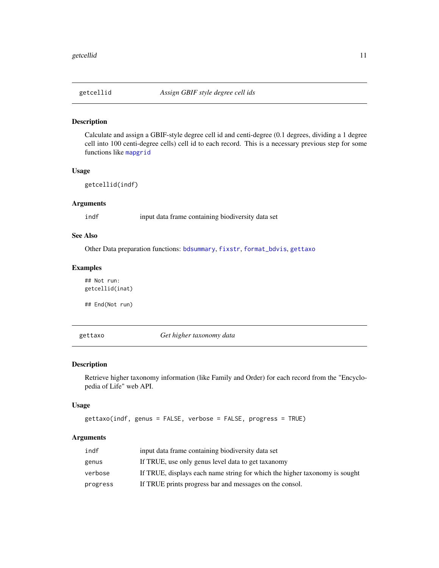<span id="page-10-1"></span><span id="page-10-0"></span>

Calculate and assign a GBIF-style degree cell id and centi-degree (0.1 degrees, dividing a 1 degree cell into 100 centi-degree cells) cell id to each record. This is a necessary previous step for some functions like [mapgrid](#page-11-1)

# Usage

getcellid(indf)

# Arguments

indf input data frame containing biodiversity data set

# See Also

Other Data preparation functions: [bdsummary](#page-3-1), [fixstr](#page-7-1), [format\\_bdvis](#page-8-1), [gettaxo](#page-10-2)

# Examples

## Not run: getcellid(inat)

## End(Not run)

<span id="page-10-2"></span>gettaxo *Get higher taxonomy data*

# Description

Retrieve higher taxonomy information (like Family and Order) for each record from the "Encyclopedia of Life" web API.

# Usage

```
gettaxo(indf, genus = FALSE, verbose = FALSE, progress = TRUE)
```
# Arguments

| indf     | input data frame containing biodiversity data set                          |
|----------|----------------------------------------------------------------------------|
| genus    | If TRUE, use only genus level data to get taxanomy                         |
| verbose  | If TRUE, displays each name string for which the higher taxonomy is sought |
| progress | If TRUE prints progress bar and messages on the consol.                    |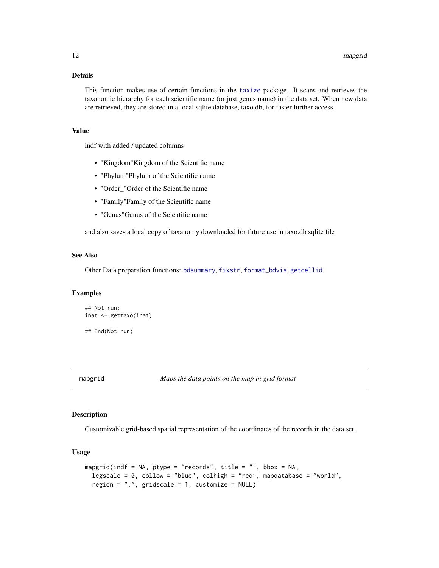# <span id="page-11-0"></span>Details

This function makes use of certain functions in the [taxize](#page-0-0) package. It scans and retrieves the taxonomic hierarchy for each scientific name (or just genus name) in the data set. When new data are retrieved, they are stored in a local sqlite database, taxo.db, for faster further access.

#### Value

indf with added / updated columns

- "Kingdom"Kingdom of the Scientific name
- "Phylum"Phylum of the Scientific name
- "Order\_"Order of the Scientific name
- "Family"Family of the Scientific name
- "Genus"Genus of the Scientific name

and also saves a local copy of taxanomy downloaded for future use in taxo.db sqlite file

#### See Also

Other Data preparation functions: [bdsummary](#page-3-1), [fixstr](#page-7-1), [format\\_bdvis](#page-8-1), [getcellid](#page-10-1)

#### Examples

```
## Not run:
inat <- gettaxo(inat)
```
## End(Not run)

<span id="page-11-1"></span>

# Description

Customizable grid-based spatial representation of the coordinates of the records in the data set.

#### Usage

```
mapgrid(indf = NA, ptype = "records", title = "", bbox = NA,
  legscale = 0, collow = "blue", colhigh = "red", mapdatabase = "world",
  region = ".". gridscale = 1, customize = NULL)
```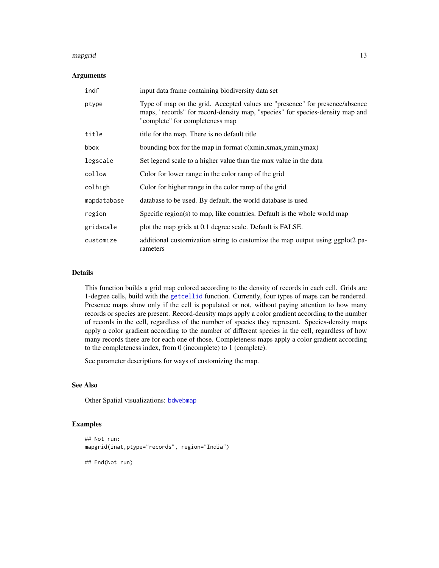#### <span id="page-12-0"></span>mapgrid that the contract of the contract of the contract of the contract of the contract of the contract of the contract of the contract of the contract of the contract of the contract of the contract of the contract of t

# Arguments

| indf        | input data frame containing biodiversity data set                                                                                                                                                |
|-------------|--------------------------------------------------------------------------------------------------------------------------------------------------------------------------------------------------|
| ptype       | Type of map on the grid. Accepted values are "presence" for presence/absence<br>maps, "records" for record-density map, "species" for species-density map and<br>"complete" for completeness map |
| title       | title for the map. There is no default title                                                                                                                                                     |
| bbox        | bounding box for the map in format $c(xmin, xmax, ymin, ymax)$                                                                                                                                   |
| legscale    | Set legend scale to a higher value than the max value in the data                                                                                                                                |
| collow      | Color for lower range in the color ramp of the grid                                                                                                                                              |
| colhigh     | Color for higher range in the color ramp of the grid                                                                                                                                             |
| mapdatabase | database to be used. By default, the world database is used                                                                                                                                      |
| region      | Specific region(s) to map, like countries. Default is the whole world map                                                                                                                        |
| gridscale   | plot the map grids at 0.1 degree scale. Default is FALSE.                                                                                                                                        |
| customize   | additional customization string to customize the map output using ggplot2 pa-<br>rameters                                                                                                        |

# Details

This function builds a grid map colored according to the density of records in each cell. Grids are 1-degree cells, build with the [getcellid](#page-10-1) function. Currently, four types of maps can be rendered. Presence maps show only if the cell is populated or not, without paying attention to how many records or species are present. Record-density maps apply a color gradient according to the number of records in the cell, regardless of the number of species they represent. Species-density maps apply a color gradient according to the number of different species in the cell, regardless of how many records there are for each one of those. Completeness maps apply a color gradient according to the completeness index, from 0 (incomplete) to 1 (complete).

See parameter descriptions for ways of customizing the map.

# See Also

Other Spatial visualizations: [bdwebmap](#page-5-2)

# Examples

```
## Not run:
mapgrid(inat,ptype="records", region="India")
```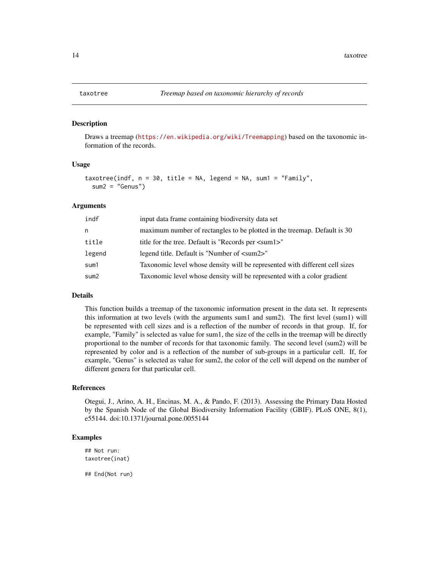Draws a treemap (<https://en.wikipedia.org/wiki/Treemapping>) based on the taxonomic information of the records.

#### Usage

```
taxotree(indf, n = 30, title = NA, legend = NA, sum1 = "Family",
  sum2 = "Genus")
```
#### Arguments

| indf   | input data frame containing biodiversity data set                           |
|--------|-----------------------------------------------------------------------------|
| n      | maximum number of rectangles to be plotted in the treemap. Default is 30    |
| title  | title for the tree. Default is "Records per <sum1>"</sum1>                  |
| legend | legend title. Default is "Number of $\langle \text{sum2} \rangle$ "         |
| sum1   | Taxonomic level whose density will be represented with different cell sizes |
| sum2   | Taxonomic level whose density will be represented with a color gradient     |

#### Details

This function builds a treemap of the taxonomic information present in the data set. It represents this information at two levels (with the arguments sum1 and sum2). The first level (sum1) will be represented with cell sizes and is a reflection of the number of records in that group. If, for example, "Family" is selected as value for sum1, the size of the cells in the treemap will be directly proportional to the number of records for that taxonomic family. The second level (sum2) will be represented by color and is a reflection of the number of sub-groups in a particular cell. If, for example, "Genus" is selected as value for sum2, the color of the cell will depend on the number of different genera for that particular cell.

#### References

Otegui, J., Arino, A. H., Encinas, M. A., & Pando, F. (2013). Assessing the Primary Data Hosted by the Spanish Node of the Global Biodiversity Information Facility (GBIF). PLoS ONE, 8(1), e55144. doi:10.1371/journal.pone.0055144

# Examples

## Not run: taxotree(inat)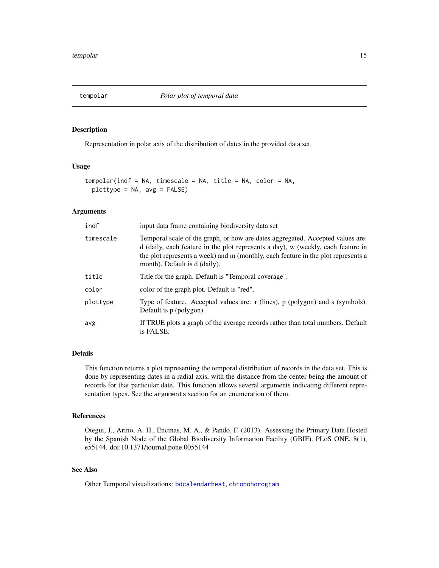<span id="page-14-1"></span><span id="page-14-0"></span>

Representation in polar axis of the distribution of dates in the provided data set.

#### Usage

```
tempolar(indf = NA, timescale = NA, title = NA, color = NA,
 plottype = NA, avg = FALSE)
```
# **Arguments**

| indf      | input data frame containing biodiversity data set                                                                                                                                                                                                                                        |
|-----------|------------------------------------------------------------------------------------------------------------------------------------------------------------------------------------------------------------------------------------------------------------------------------------------|
| timescale | Temporal scale of the graph, or how are dates aggregated. Accepted values are:<br>d (daily, each feature in the plot represents a day), w (weekly, each feature in<br>the plot represents a week) and m (monthly, each feature in the plot represents a<br>month). Default is d (daily). |
| title     | Title for the graph. Default is "Temporal coverage".                                                                                                                                                                                                                                     |
| color     | color of the graph plot. Default is "red".                                                                                                                                                                                                                                               |
| plottype  | Type of feature. Accepted values are: r (lines), p (polygon) and s (symbols).<br>Default is p (polygon).                                                                                                                                                                                 |
| avg       | If TRUE plots a graph of the average records rather than total numbers. Default<br>is FALSE.                                                                                                                                                                                             |

#### Details

This function returns a plot representing the temporal distribution of records in the data set. This is done by representing dates in a radial axis, with the distance from the center being the amount of records for that particular date. This function allows several arguments indicating different representation types. See the arguments section for an enumeration of them.

#### References

Otegui, J., Arino, A. H., Encinas, M. A., & Pando, F. (2013). Assessing the Primary Data Hosted by the Spanish Node of the Global Biodiversity Information Facility (GBIF). PLoS ONE, 8(1), e55144. doi:10.1371/journal.pone.0055144

# See Also

Other Temporal visualizations: [bdcalendarheat](#page-1-1), [chronohorogram](#page-5-1)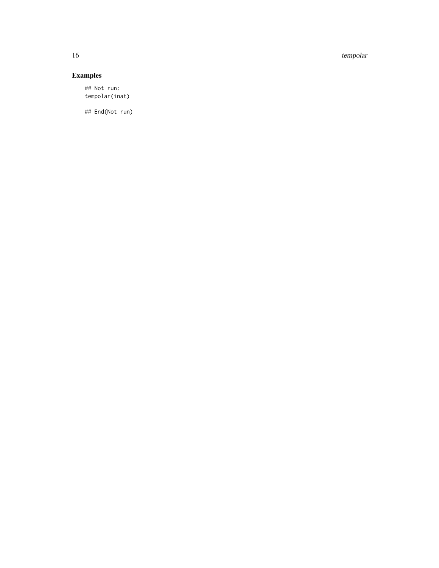16 tempolar tempolar tempolar tempolar tempolar tempolar tempolar tempolar tempolar tempolar tempolar tempolar

# Examples

## Not run: tempolar(inat)